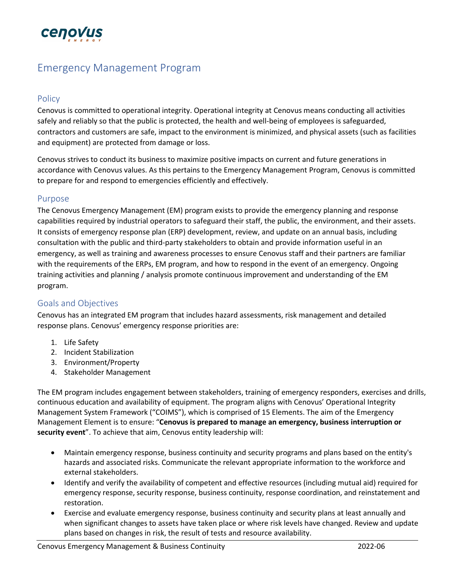

# Emergency Management Program

#### Policy

Cenovus is committed to operational integrity. Operational integrity at Cenovus means conducting all activities safely and reliably so that the public is protected, the health and well-being of employees is safeguarded, contractors and customers are safe, impact to the environment is minimized, and physical assets (such as facilities and equipment) are protected from damage or loss.

Cenovus strives to conduct its business to maximize positive impacts on current and future generations in accordance with Cenovus values. As this pertains to the Emergency Management Program, Cenovus is committed to prepare for and respond to emergencies efficiently and effectively.

#### Purpose

The Cenovus Emergency Management (EM) program exists to provide the emergency planning and response capabilities required by industrial operators to safeguard their staff, the public, the environment, and their assets. It consists of emergency response plan (ERP) development, review, and update on an annual basis, including consultation with the public and third-party stakeholders to obtain and provide information useful in an emergency, as well as training and awareness processes to ensure Cenovus staff and their partners are familiar with the requirements of the ERPs, EM program, and how to respond in the event of an emergency. Ongoing training activities and planning / analysis promote continuous improvement and understanding of the EM program.

## Goals and Objectives

Cenovus has an integrated EM program that includes hazard assessments, risk management and detailed response plans. Cenovus' emergency response priorities are:

- 1. Life Safety
- 2. Incident Stabilization
- 3. Environment/Property
- 4. Stakeholder Management

The EM program includes engagement between stakeholders, training of emergency responders, exercises and drills, continuous education and availability of equipment. The program aligns with Cenovus' Operational Integrity Management System Framework ("COIMS"), which is comprised of 15 Elements. The aim of the Emergency Management Element is to ensure: "**Cenovus is prepared to manage an emergency, business interruption or security event**". To achieve that aim, Cenovus entity leadership will:

- Maintain emergency response, business continuity and security programs and plans based on the entity's hazards and associated risks. Communicate the relevant appropriate information to the workforce and external stakeholders.
- Identify and verify the availability of competent and effective resources (including mutual aid) required for emergency response, security response, business continuity, response coordination, and reinstatement and restoration.
- Exercise and evaluate emergency response, business continuity and security plans at least annually and when significant changes to assets have taken place or where risk levels have changed. Review and update plans based on changes in risk, the result of tests and resource availability.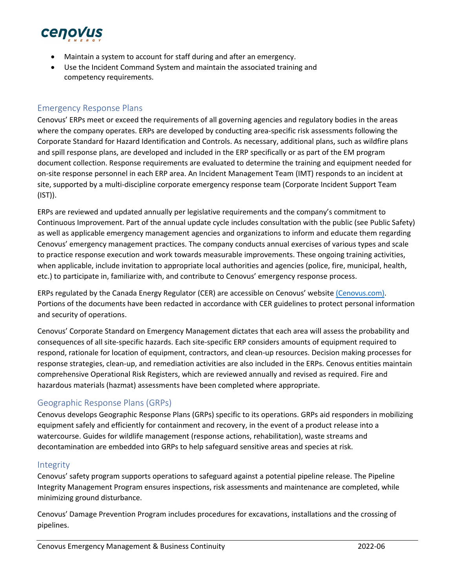

- Maintain a system to account for staff during and after an emergency.
- Use the Incident Command System and maintain the associated training and competency requirements.

#### Emergency Response Plans

Cenovus' ERPs meet or exceed the requirements of all governing agencies and regulatory bodies in the areas where the company operates. ERPs are developed by conducting area-specific risk assessments following the Corporate Standard for Hazard Identification and Controls. As necessary, additional plans, such as wildfire plans and spill response plans, are developed and included in the ERP specifically or as part of the EM program document collection. Response requirements are evaluated to determine the training and equipment needed for on-site response personnel in each ERP area. An Incident Management Team (IMT) responds to an incident at site, supported by a multi-discipline corporate emergency response team (Corporate Incident Support Team (IST)).

ERPs are reviewed and updated annually per legislative requirements and the company's commitment to Continuous Improvement. Part of the annual update cycle includes consultation with the public (see Public Safety) as well as applicable emergency management agencies and organizations to inform and educate them regarding Cenovus' emergency management practices. The company conducts annual exercises of various types and scale to practice response execution and work towards measurable improvements. These ongoing training activities, when applicable, include invitation to appropriate local authorities and agencies (police, fire, municipal, health, etc.) to participate in, familiarize with, and contribute to Cenovus' emergency response process.

ERPs regulated by the Canada Energy Regulator (CER) are accessible on Cenovus' website [\(Cenovus.com\).](http://www.huskyenergy.com/) Portions of the documents have been redacted in accordance with CER guidelines to protect personal information and security of operations.

Cenovus' Corporate Standard on Emergency Management dictates that each area will assess the probability and consequences of all site-specific hazards. Each site-specific ERP considers amounts of equipment required to respond, rationale for location of equipment, contractors, and clean-up resources. Decision making processes for response strategies, clean-up, and remediation activities are also included in the ERPs. Cenovus entities maintain comprehensive Operational Risk Registers, which are reviewed annually and revised as required. Fire and hazardous materials (hazmat) assessments have been completed where appropriate.

## Geographic Response Plans (GRPs)

Cenovus develops Geographic Response Plans (GRPs) specific to its operations. GRPs aid responders in mobilizing equipment safely and efficiently for containment and recovery, in the event of a product release into a watercourse. Guides for wildlife management (response actions, rehabilitation), waste streams and decontamination are embedded into GRPs to help safeguard sensitive areas and species at risk.

#### Integrity

Cenovus' safety program supports operations to safeguard against a potential pipeline release. The Pipeline Integrity Management Program ensures inspections, risk assessments and maintenance are completed, while minimizing ground disturbance.

Cenovus' Damage Prevention Program includes procedures for excavations, installations and the crossing of pipelines.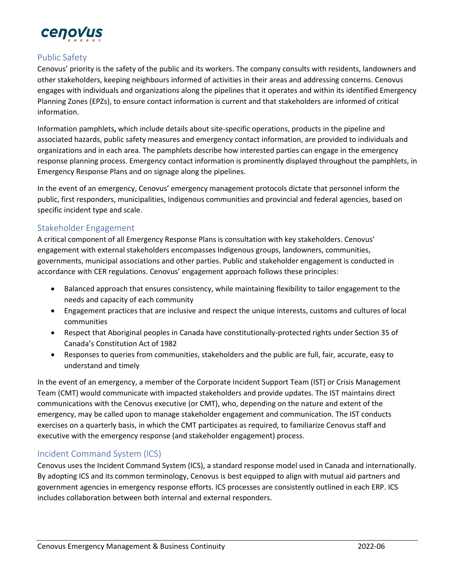

## Public Safety

Cenovus' priority is the safety of the public and its workers. The company consults with residents, landowners and other stakeholders, keeping neighbours informed of activities in their areas and addressing concerns. Cenovus engages with individuals and organizations along the pipelines that it operates and within its identified Emergency Planning Zones (EPZs), to ensure contact information is current and that stakeholders are informed of critical information.

Information pamphlets**,** which include details about site-specific operations, products in the pipeline and associated hazards, public safety measures and emergency contact information, are provided to individuals and organizations and in each area. The pamphlets describe how interested parties can engage in the emergency response planning process. Emergency contact information is prominently displayed throughout the pamphlets, in Emergency Response Plans and on signage along the pipelines.

In the event of an emergency, Cenovus' emergency management protocols dictate that personnel inform the public, first responders, municipalities, Indigenous communities and provincial and federal agencies, based on specific incident type and scale.

## Stakeholder Engagement

A critical component of all Emergency Response Plans is consultation with key stakeholders. Cenovus' engagement with external stakeholders encompasses Indigenous groups, landowners, communities, governments, municipal associations and other parties. Public and stakeholder engagement is conducted in accordance with CER regulations. Cenovus' engagement approach follows these principles:

- Balanced approach that ensures consistency, while maintaining flexibility to tailor engagement to the needs and capacity of each community
- Engagement practices that are inclusive and respect the unique interests, customs and cultures of local communities
- Respect that Aboriginal peoples in Canada have constitutionally-protected rights under Section 35 of Canada's Constitution Act of 1982
- Responses to queries from communities, stakeholders and the public are full, fair, accurate, easy to understand and timely

In the event of an emergency, a member of the Corporate Incident Support Team (IST) or Crisis Management Team (CMT) would communicate with impacted stakeholders and provide updates. The IST maintains direct communications with the Cenovus executive (or CMT), who, depending on the nature and extent of the emergency, may be called upon to manage stakeholder engagement and communication. The IST conducts exercises on a quarterly basis, in which the CMT participates as required, to familiarize Cenovus staff and executive with the emergency response (and stakeholder engagement) process.

## Incident Command System (ICS)

Cenovus uses the Incident Command System (ICS), a standard response model used in Canada and internationally. By adopting ICS and its common terminology, Cenovus is best equipped to align with mutual aid partners and government agencies in emergency response efforts. ICS processes are consistently outlined in each ERP. ICS includes collaboration between both internal and external responders.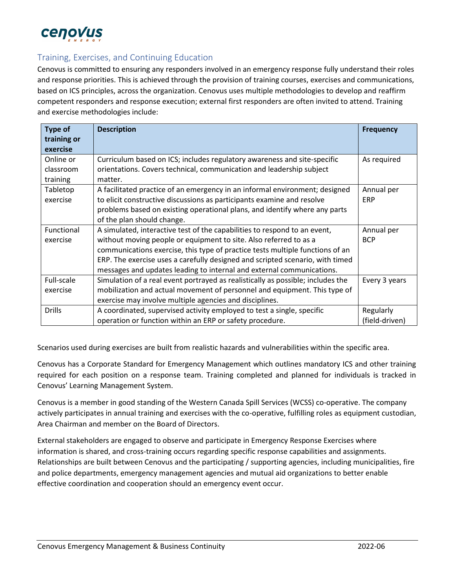

## Training, Exercises, and Continuing Education

Cenovus is committed to ensuring any responders involved in an emergency response fully understand their roles and response priorities. This is achieved through the provision of training courses, exercises and communications, based on ICS principles, across the organization. Cenovus uses multiple methodologies to develop and reaffirm competent responders and response execution; external first responders are often invited to attend. Training and exercise methodologies include:

| <b>Type of</b>    | <b>Description</b>                                                              | <b>Frequency</b> |
|-------------------|---------------------------------------------------------------------------------|------------------|
| training or       |                                                                                 |                  |
| exercise          |                                                                                 |                  |
| Online or         | Curriculum based on ICS; includes regulatory awareness and site-specific        | As required      |
| classroom         | orientations. Covers technical, communication and leadership subject            |                  |
| training          | matter.                                                                         |                  |
| Tabletop          | A facilitated practice of an emergency in an informal environment; designed     | Annual per       |
| exercise          | to elicit constructive discussions as participants examine and resolve          | <b>ERP</b>       |
|                   | problems based on existing operational plans, and identify where any parts      |                  |
|                   | of the plan should change.                                                      |                  |
| <b>Functional</b> | A simulated, interactive test of the capabilities to respond to an event,       | Annual per       |
| exercise          | without moving people or equipment to site. Also referred to as a               | <b>BCP</b>       |
|                   | communications exercise, this type of practice tests multiple functions of an   |                  |
|                   | ERP. The exercise uses a carefully designed and scripted scenario, with timed   |                  |
|                   | messages and updates leading to internal and external communications.           |                  |
| Full-scale        | Simulation of a real event portrayed as realistically as possible; includes the | Every 3 years    |
| exercise          | mobilization and actual movement of personnel and equipment. This type of       |                  |
|                   | exercise may involve multiple agencies and disciplines.                         |                  |
| <b>Drills</b>     | A coordinated, supervised activity employed to test a single, specific          | Regularly        |
|                   | operation or function within an ERP or safety procedure.                        | (field-driven)   |

Scenarios used during exercises are built from realistic hazards and vulnerabilities within the specific area.

Cenovus has a Corporate Standard for Emergency Management which outlines mandatory ICS and other training required for each position on a response team. Training completed and planned for individuals is tracked in Cenovus' Learning Management System.

Cenovus is a member in good standing of the Western Canada Spill Services (WCSS) co-operative. The company actively participates in annual training and exercises with the co-operative, fulfilling roles as equipment custodian, Area Chairman and member on the Board of Directors.

External stakeholders are engaged to observe and participate in Emergency Response Exercises where information is shared, and cross-training occurs regarding specific response capabilities and assignments. Relationships are built between Cenovus and the participating / supporting agencies, including municipalities, fire and police departments, emergency management agencies and mutual aid organizations to better enable effective coordination and cooperation should an emergency event occur.